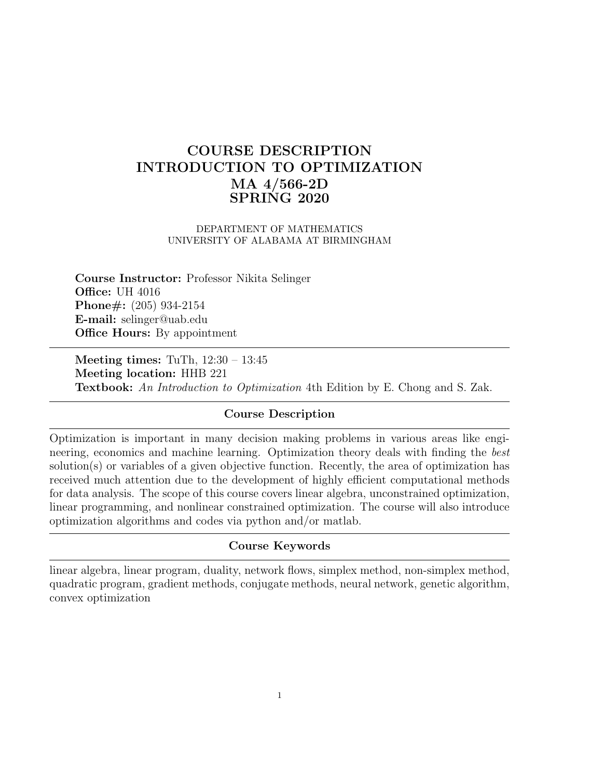# COURSE DESCRIPTION INTRODUCTION TO OPTIMIZATION MA 4/566-2D SPRING 2020

#### DEPARTMENT OF MATHEMATICS UNIVERSITY OF ALABAMA AT BIRMINGHAM

Course Instructor: Professor Nikita Selinger **Office: UH 4016** Phone#: (205) 934-2154 E-mail: selinger@uab.edu **Office Hours:** By appointment

Meeting times: TuTh, 12:30 – 13:45 Meeting location: HHB 221 Textbook: An Introduction to Optimization 4th Edition by E. Chong and S. Zak.

# Course Description

Optimization is important in many decision making problems in various areas like engineering, economics and machine learning. Optimization theory deals with finding the best solution(s) or variables of a given objective function. Recently, the area of optimization has received much attention due to the development of highly efficient computational methods for data analysis. The scope of this course covers linear algebra, unconstrained optimization, linear programming, and nonlinear constrained optimization. The course will also introduce optimization algorithms and codes via python and/or matlab.

## Course Keywords

linear algebra, linear program, duality, network flows, simplex method, non-simplex method, quadratic program, gradient methods, conjugate methods, neural network, genetic algorithm, convex optimization